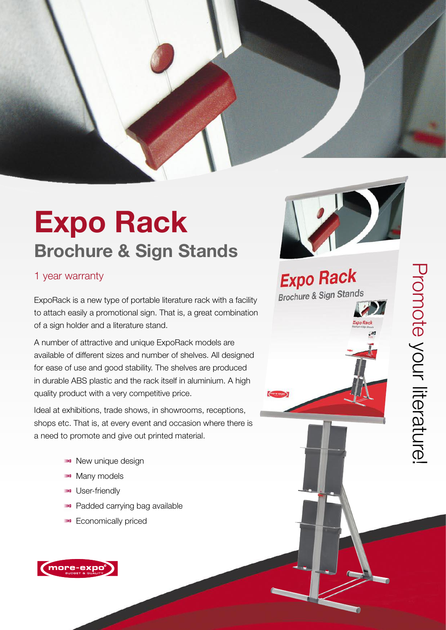# **Expo Rack Brochure & Sign Stands**

#### 1 year warranty

ExpoRack is a new type of portable literature rack with a facility to attach easily a promotional sign. That is, a great combination of a sign holder and a literature stand .

A number of attractive and unique ExpoRack models are available of different sizes and number of shelves. All designed for ease of use and good stability. The shelves are produced in durable ABS plastic and the rack itself in aluminium. A high quality product with a very competitive price.

Ideal at exhibitions, trade shows, in showrooms, receptions, shops etc. That is, at every event and occasion where there is a need to promote and give out printed material.

- New unique design
- Many models
- **D** User-friendly
- **Padded carrying bag available**
- **Economically priced**





**Expo Rack Brochure & Sign Stands**